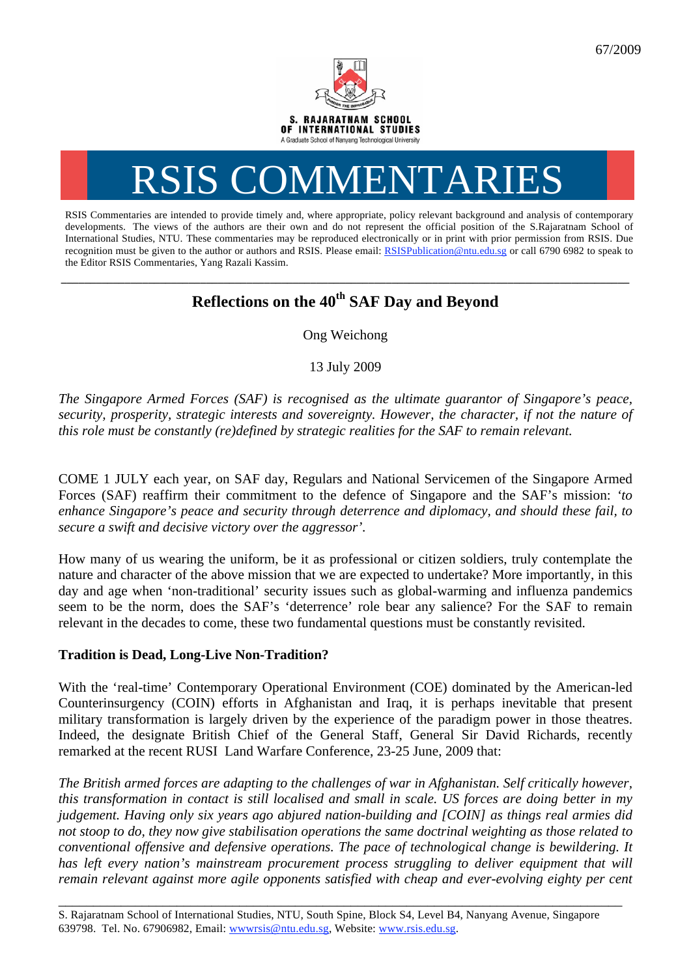

# RSIS COMMENTARIES

RSIS Commentaries are intended to provide timely and, where appropriate, policy relevant background and analysis of contemporary developments. The views of the authors are their own and do not represent the official position of the S.Rajaratnam School of International Studies, NTU. These commentaries may be reproduced electronically or in print with prior permission from RSIS. Due recognition must be given to the author or authors and RSIS. Please email: RSISPublication@ntu.edu.sg or call 6790 6982 to speak to the Editor RSIS Commentaries, Yang Razali Kassim.

## **\_\_\_\_\_\_\_\_\_\_\_\_\_\_\_\_\_\_\_\_\_\_\_\_\_\_\_\_\_\_\_\_\_\_\_\_\_\_\_\_\_\_\_\_\_\_\_\_\_\_\_\_\_\_\_\_\_\_\_\_\_\_\_\_\_\_\_\_\_\_\_\_\_\_\_\_\_\_\_\_\_\_\_\_\_\_\_\_\_\_\_\_\_\_\_\_\_\_ Reflections on the 40th SAF Day and Beyond**

Ong Weichong

13 July 2009

*The Singapore Armed Forces (SAF) is recognised as the ultimate guarantor of Singapore's peace, security, prosperity, strategic interests and sovereignty. However, the character, if not the nature of this role must be constantly (re)defined by strategic realities for the SAF to remain relevant.*

COME 1 JULY each year, on SAF day, Regulars and National Servicemen of the Singapore Armed Forces (SAF) reaffirm their commitment to the defence of Singapore and the SAF's mission: *'to enhance Singapore's peace and security through deterrence and diplomacy, and should these fail, to secure a swift and decisive victory over the aggressor'.* 

How many of us wearing the uniform, be it as professional or citizen soldiers, truly contemplate the nature and character of the above mission that we are expected to undertake? More importantly, in this day and age when 'non-traditional' security issues such as global-warming and influenza pandemics seem to be the norm, does the SAF's 'deterrence' role bear any salience? For the SAF to remain relevant in the decades to come, these two fundamental questions must be constantly revisited.

### **Tradition is Dead, Long-Live Non-Tradition?**

With the 'real-time' Contemporary Operational Environment (COE) dominated by the American-led Counterinsurgency (COIN) efforts in Afghanistan and Iraq, it is perhaps inevitable that present military transformation is largely driven by the experience of the paradigm power in those theatres. Indeed, the designate British Chief of the General Staff, General Sir David Richards, recently remarked at the recent RUSI Land Warfare Conference, 23-25 June, 2009 that:

*The British armed forces are adapting to the challenges of war in Afghanistan. Self critically however, this transformation in contact is still localised and small in scale. US forces are doing better in my judgement. Having only six years ago abjured nation-building and [COIN] as things real armies did not stoop to do, they now give stabilisation operations the same doctrinal weighting as those related to conventional offensive and defensive operations. The pace of technological change is bewildering. It has left every nation's mainstream procurement process struggling to deliver equipment that will remain relevant against more agile opponents satisfied with cheap and ever-evolving eighty per cent* 

\_\_\_\_\_\_\_\_\_\_\_\_\_\_\_\_\_\_\_\_\_\_\_\_\_\_\_\_\_\_\_\_\_\_\_\_\_\_\_\_\_\_\_\_\_\_\_\_\_\_\_\_\_\_\_\_\_\_\_\_\_\_\_\_\_\_\_\_\_\_\_\_\_\_\_\_\_\_\_\_\_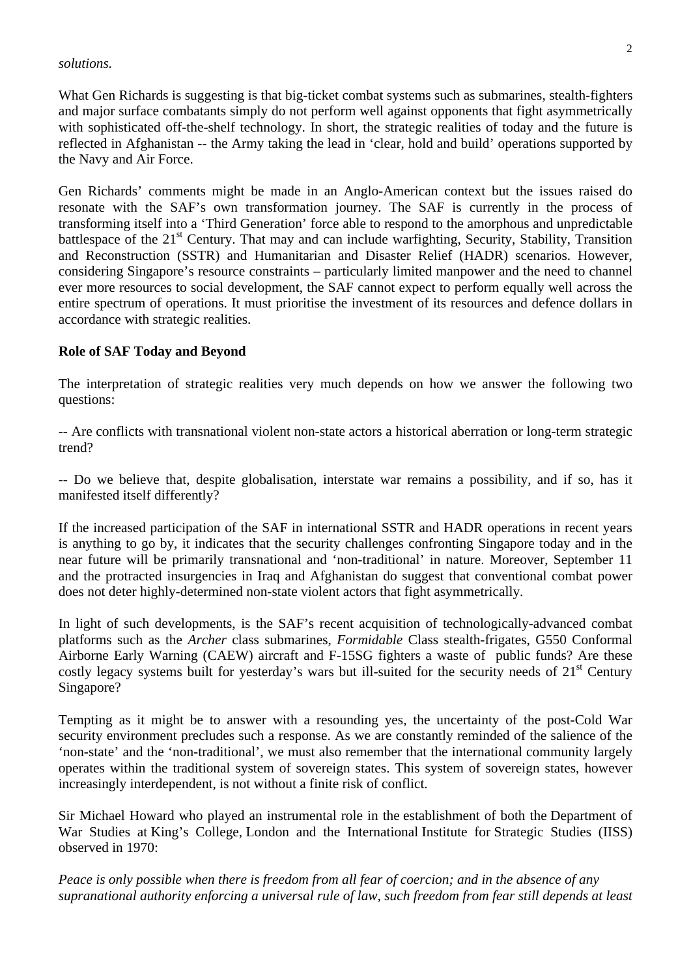#### *solutions.*

What Gen Richards is suggesting is that big-ticket combat systems such as submarines, stealth-fighters and major surface combatants simply do not perform well against opponents that fight asymmetrically with sophisticated off-the-shelf technology. In short, the strategic realities of today and the future is reflected in Afghanistan -- the Army taking the lead in 'clear, hold and build' operations supported by the Navy and Air Force.

Gen Richards' comments might be made in an Anglo-American context but the issues raised do resonate with the SAF's own transformation journey. The SAF is currently in the process of transforming itself into a 'Third Generation' force able to respond to the amorphous and unpredictable battlespace of the  $21<sup>st</sup>$  Century. That may and can include warfighting, Security, Stability, Transition and Reconstruction (SSTR) and Humanitarian and Disaster Relief (HADR) scenarios. However, considering Singapore's resource constraints – particularly limited manpower and the need to channel ever more resources to social development, the SAF cannot expect to perform equally well across the entire spectrum of operations. It must prioritise the investment of its resources and defence dollars in accordance with strategic realities.

#### **Role of SAF Today and Beyond**

The interpretation of strategic realities very much depends on how we answer the following two questions:

-- Are conflicts with transnational violent non-state actors a historical aberration or long-term strategic trend?

-- Do we believe that, despite globalisation, interstate war remains a possibility, and if so, has it manifested itself differently?

If the increased participation of the SAF in international SSTR and HADR operations in recent years is anything to go by, it indicates that the security challenges confronting Singapore today and in the near future will be primarily transnational and 'non-traditional' in nature. Moreover, September 11 and the protracted insurgencies in Iraq and Afghanistan do suggest that conventional combat power does not deter highly-determined non-state violent actors that fight asymmetrically.

In light of such developments, is the SAF's recent acquisition of technologically-advanced combat platforms such as the *Archer* class submarines, *Formidable* Class stealth-frigates, G550 Conformal Airborne Early Warning (CAEW) aircraft and F-15SG fighters a waste of public funds? Are these costly legacy systems built for yesterday's wars but ill-suited for the security needs of 21<sup>st</sup> Century Singapore?

Tempting as it might be to answer with a resounding yes, the uncertainty of the post-Cold War security environment precludes such a response. As we are constantly reminded of the salience of the 'non-state' and the 'non-traditional', we must also remember that the international community largely operates within the traditional system of sovereign states. This system of sovereign states, however increasingly interdependent, is not without a finite risk of conflict.

Sir Michael Howard who played an instrumental role in the establishment of both the Department of War Studies at King's College, London and the International Institute for Strategic Studies (IISS) observed in 1970:

*Peace is only possible when there is freedom from all fear of coercion; and in the absence of any supranational authority enforcing a universal rule of law, such freedom from fear still depends at least*